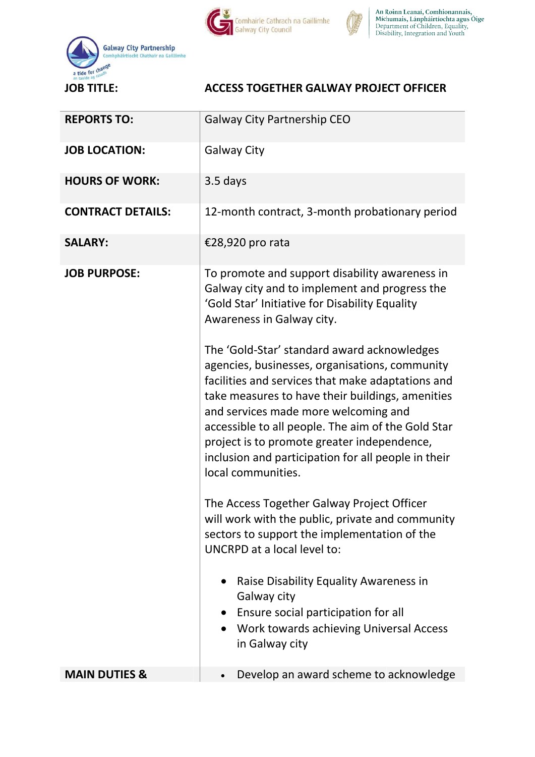



An Roinn Leanaí, Comhionannais,<br>Míchumais, Lánpháirtíochta agus Óige<br>Department of Children, Equality,<br>Disability, Integration and Youth



## ACCESS TOGETHER GALWAY PROJECT OFFICER

| <b>REPORTS TO:</b>       | <b>Galway City Partnership CEO</b>                                                                                                                                                                                                                                                                                              |
|--------------------------|---------------------------------------------------------------------------------------------------------------------------------------------------------------------------------------------------------------------------------------------------------------------------------------------------------------------------------|
| <b>JOB LOCATION:</b>     | <b>Galway City</b>                                                                                                                                                                                                                                                                                                              |
| <b>HOURS OF WORK:</b>    | 3.5 days                                                                                                                                                                                                                                                                                                                        |
| <b>CONTRACT DETAILS:</b> | 12-month contract, 3-month probationary period                                                                                                                                                                                                                                                                                  |
| <b>SALARY:</b>           | €28,920 pro rata                                                                                                                                                                                                                                                                                                                |
| <b>JOB PURPOSE:</b>      | To promote and support disability awareness in<br>Galway city and to implement and progress the<br>'Gold Star' Initiative for Disability Equality<br>Awareness in Galway city.<br>The 'Gold-Star' standard award acknowledges<br>agencies, businesses, organisations, community                                                 |
|                          | facilities and services that make adaptations and<br>take measures to have their buildings, amenities<br>and services made more welcoming and<br>accessible to all people. The aim of the Gold Star<br>project is to promote greater independence,<br>inclusion and participation for all people in their<br>local communities. |
|                          | The Access Together Galway Project Officer<br>will work with the public, private and community<br>sectors to support the implementation of the<br>UNCRPD at a local level to:                                                                                                                                                   |
|                          | Raise Disability Equality Awareness in<br>$\bullet$<br>Galway city<br>Ensure social participation for all<br>$\bullet$<br>Work towards achieving Universal Access<br>in Galway city                                                                                                                                             |
| <b>MAIN DUTIES &amp;</b> | Develop an award scheme to acknowledge                                                                                                                                                                                                                                                                                          |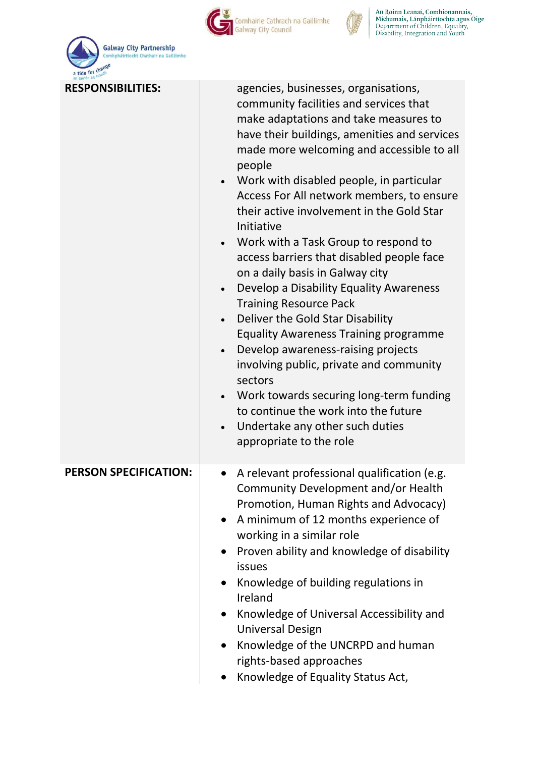

Comhairle Cathrach na Gaillimhe



An Roinn Leanaí, Comhionannais,<br>Míchumais, Lánpháirtíochta agus Óige<br>Department of Children, Equality,<br>Disability, Integration and Youth

| a tide for change<br>ag casadh |                                                                                                                                                                                                                                                                                                                                                                                                                                                                                                                                                                                                                                                                                                                                                                                                                                                                                                                                        |
|--------------------------------|----------------------------------------------------------------------------------------------------------------------------------------------------------------------------------------------------------------------------------------------------------------------------------------------------------------------------------------------------------------------------------------------------------------------------------------------------------------------------------------------------------------------------------------------------------------------------------------------------------------------------------------------------------------------------------------------------------------------------------------------------------------------------------------------------------------------------------------------------------------------------------------------------------------------------------------|
| <b>RESPONSIBILITIES:</b>       | agencies, businesses, organisations,<br>community facilities and services that<br>make adaptations and take measures to<br>have their buildings, amenities and services<br>made more welcoming and accessible to all<br>people<br>• Work with disabled people, in particular<br>Access For All network members, to ensure<br>their active involvement in the Gold Star<br>Initiative<br>Work with a Task Group to respond to<br>access barriers that disabled people face<br>on a daily basis in Galway city<br>Develop a Disability Equality Awareness<br><b>Training Resource Pack</b><br>Deliver the Gold Star Disability<br><b>Equality Awareness Training programme</b><br>Develop awareness-raising projects<br>$\bullet$<br>involving public, private and community<br>sectors<br>Work towards securing long-term funding<br>to continue the work into the future<br>Undertake any other such duties<br>appropriate to the role |
| <b>PERSON SPECIFICATION:</b>   | A relevant professional qualification (e.g.<br>Community Development and/or Health<br>Promotion, Human Rights and Advocacy)<br>A minimum of 12 months experience of<br>$\bullet$<br>working in a similar role<br>Proven ability and knowledge of disability<br>$\bullet$<br>issues<br>Knowledge of building regulations in<br>Ireland<br>Knowledge of Universal Accessibility and<br>$\bullet$<br><b>Universal Design</b><br>Knowledge of the UNCRPD and human<br>rights-based approaches<br>Knowledge of Equality Status Act,                                                                                                                                                                                                                                                                                                                                                                                                         |